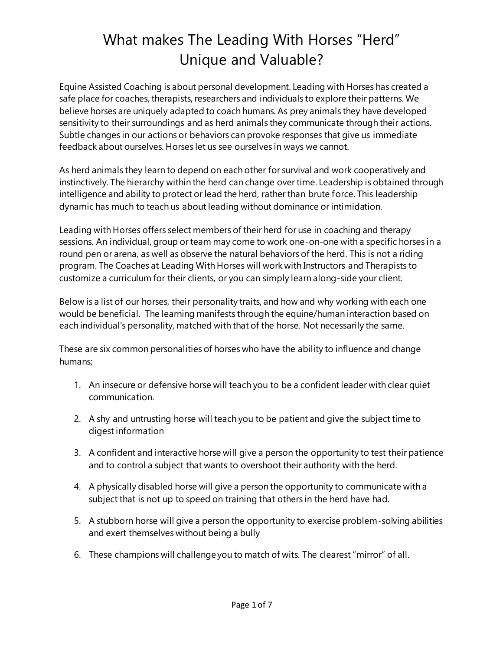# What makes The Leading With Horses "Herd" Unique and Valuable?

Equine Assisted Coaching is about personal development. Leading with Horses has created a safe place for coaches, therapists, researchers and individuals to explore their patterns. We believe horses are uniquely adapted to coach humans. As prey animals they have developed sensitivity to their surroundings and as herd animals they communicate through their actions. Subtle changes in our actions or behaviors can provoke responses that give us immediate feedback about ourselves. Horses let us see ourselves in ways we cannot.

As herd animals they learn to depend on each other for survival and work cooperatively and instinctively. The hierarchy within the herd can change over time. Leadership is obtained through intelligence and ability to protect or lead the herd, rather than brute force. This leadership dynamic has much to teach us about leading without dominance or intimidation.

Leading with Horses offers select members of their herd for use in coaching and therapy sessions. An individual, group or team may come to work one-on-one with a specific horses in a round pen or arena, as well as observe the natural behaviors of the herd. This is not a riding program. The Coaches at Leading With Horses will work with Instructors and Therapists to customize a curriculum for their clients, or you can simply learn along-side your client.

Below is a list of our horses, their personality traits, and how and why working with each one would be beneficial. The learning manifests through the equine/human interaction based on each individual's personality, matched with that of the horse. Not necessarily the same.

These are six common personalities of horses who have the ability to influence and change humans;

- 1. An insecure or defensive horse will teach you to be a confident leader with clear quiet communication.
- 2. A shy and untrusting horse will teach you to be patient and give the subject time to digest information
- 3. A confident and interactive horse will give a person the opportunity to test their patience and to control a subject that wants to overshoot their authority with the herd.
- 4. A physically disabled horse will give a person the opportunity to communicate with a subject that is not up to speed on training that others in the herd have had.
- 5. A stubborn horse will give a person the opportunity to exercise problem-solving abilities and exert themselves without being a bully
- 6. These champions will challenge you to match of wits. The clearest "mirror" of all.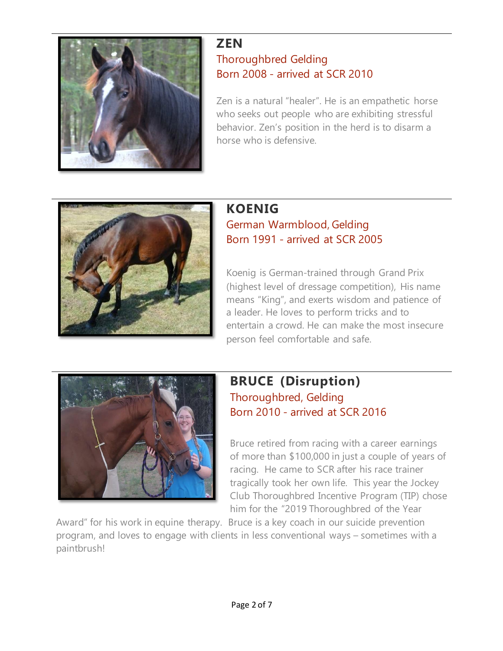

#### **ZEN** Thoroughbred Gelding Born 2008 - arrived at SCR 2010

Zen is a natural "healer". He is an empathetic horse who seeks out people who are exhibiting stressful behavior. Zen's position in the herd is to disarm a horse who is defensive.



#### **KOENIG** German Warmblood, Gelding Born 1991 - arrived at SCR 2005

Koenig is German-trained through Grand Prix (highest level of dressage competition), His name means "King", and exerts wisdom and patience of a leader. He loves to perform tricks and to entertain a crowd. He can make the most insecure person feel comfortable and safe.



# **BRUCE (Disruption)** Thoroughbred, Gelding Born 2010 - arrived at SCR 2016

Bruce retired from racing with a career earnings of more than \$100,000 in just a couple of years of racing. He came to SCR after his race trainer tragically took her own life. This year the Jockey Club Thoroughbred Incentive Program (TIP) chose him for the "2019 Thoroughbred of the Year

Award" for his work in equine therapy. Bruce is a key coach in our suicide prevention program, and loves to engage with clients in less conventional ways – sometimes with a paintbrush!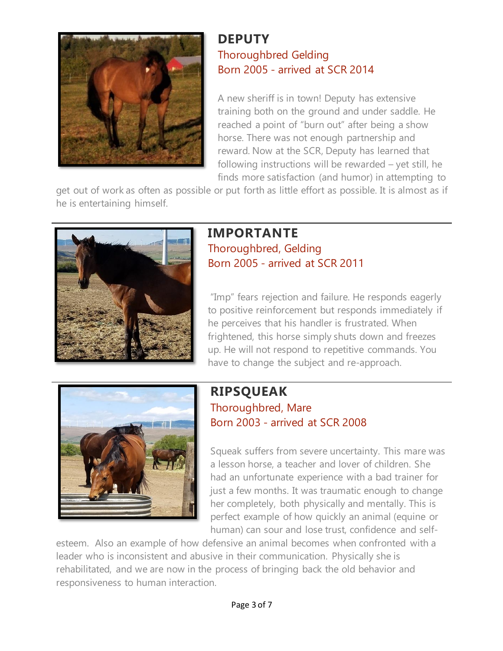

#### **DEPUTY** Thoroughbred Gelding Born 2005 - arrived at SCR 2014

A new sheriff is in town! Deputy has extensive training both on the ground and under saddle. He reached a point of "burn out" after being a show horse. There was not enough partnership and reward. Now at the SCR, Deputy has learned that following instructions will be rewarded – yet still, he finds more satisfaction (and humor) in attempting to

get out of work as often as possible or put forth as little effort as possible. It is almost as if he is entertaining himself.



# **IMPORTANTE** Thoroughbred, Gelding Born 2005 - arrived at SCR 2011

"Imp" fears rejection and failure. He responds eagerly to positive reinforcement but responds immediately if he perceives that his handler is frustrated. When frightened, this horse simply shuts down and freezes up. He will not respond to repetitive commands. You have to change the subject and re-approach.



#### **RIPSQUEAK** Thoroughbred, Mare Born 2003 - arrived at SCR 2008

Squeak suffers from severe uncertainty. This mare was a lesson horse, a teacher and lover of children. She had an unfortunate experience with a bad trainer for just a few months. It was traumatic enough to change her completely, both physically and mentally. This is perfect example of how quickly an animal (equine or human) can sour and lose trust, confidence and self-

esteem. Also an example of how defensive an animal becomes when confronted with a leader who is inconsistent and abusive in their communication. Physically she is rehabilitated, and we are now in the process of bringing back the old behavior and responsiveness to human interaction.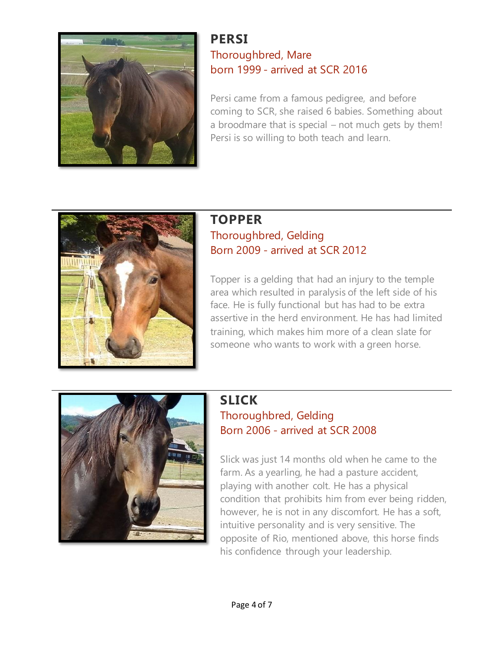

#### **PERSI** Thoroughbred, Mare born 1999 - arrived at SCR 2016

Persi came from a famous pedigree, and before coming to SCR, she raised 6 babies. Something about a broodmare that is special – not much gets by them! Persi is so willing to both teach and learn.



#### **TOPPER** Thoroughbred, Gelding Born 2009 - arrived at SCR 2012

Topper is a gelding that had an injury to the temple area which resulted in paralysis of the left side of his face. He is fully functional but has had to be extra assertive in the herd environment. He has had limited training, which makes him more of a clean slate for someone who wants to work with a green horse.



#### **SLICK** Thoroughbred, Gelding Born 2006 - arrived at SCR 2008

Slick was just 14 months old when he came to the farm. As a yearling, he had a pasture accident, playing with another colt. He has a physical condition that prohibits him from ever being ridden, however, he is not in any discomfort. He has a soft, intuitive personality and is very sensitive. The opposite of Rio, mentioned above, this horse finds his confidence through your leadership.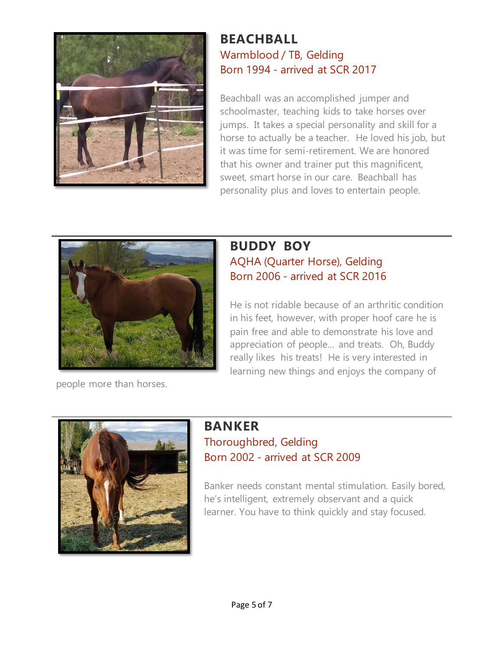

#### **BEACHBALL** Warmblood / TB, Gelding Born 1994 - arrived at SCR 2017

Beachball was an accomplished jumper and schoolmaster, teaching kids to take horses over jumps. It takes a special personality and skill for a horse to actually be a teacher. He loved his job, but it was time for semi-retirement. We are honored that his owner and trainer put this magnificent, sweet, smart horse in our care. Beachball has personality plus and loves to entertain people.



#### **BUDDY BOY** AQHA (Quarter Horse), Gelding Born 2006 - arrived at SCR 2016

He is not ridable because of an arthritic condition in his feet, however, with proper hoof care he is pain free and able to demonstrate his love and appreciation of people… and treats. Oh, Buddy really likes his treats! He is very interested in learning new things and enjoys the company of

people more than horses.



# **BANKER**

# Thoroughbred, Gelding Born 2002 - arrived at SCR 2009

Banker needs constant mental stimulation. Easily bored, he's intelligent, extremely observant and a quick learner. You have to think quickly and stay focused.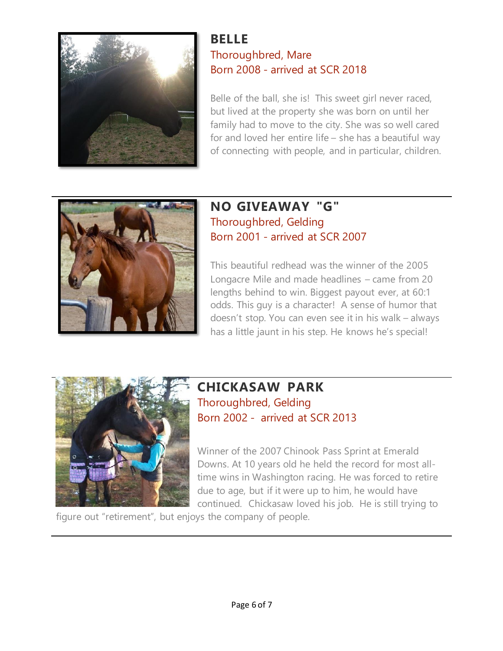

#### **BELLE** Thoroughbred, Mare Born 2008 - arrived at SCR 2018

Belle of the ball, she is! This sweet girl never raced, but lived at the property she was born on until her family had to move to the city. She was so well cared for and loved her entire life – she has a beautiful way of connecting with people, and in particular, children.



# **NO GIVEAWAY "G"** Thoroughbred, Gelding Born 2001 - arrived at SCR 2007

This beautiful redhead was the winner of the 2005 Longacre Mile and made headlines – came from 20 lengths behind to win. Biggest payout ever, at 60:1 odds. This guy is a character! A sense of humor that doesn't stop. You can even see it in his walk – always has a little jaunt in his step. He knows he's special!



# **CHICKASAW PARK** Thoroughbred, Gelding Born 2002 - arrived at SCR 2013

Winner of the 2007 Chinook Pass Sprint at Emerald Downs. At 10 years old he held the record for most alltime wins in Washington racing. He was forced to retire due to age, but if it were up to him, he would have continued. Chickasaw loved his job. He is still trying to

figure out "retirement", but enjoys the company of people.